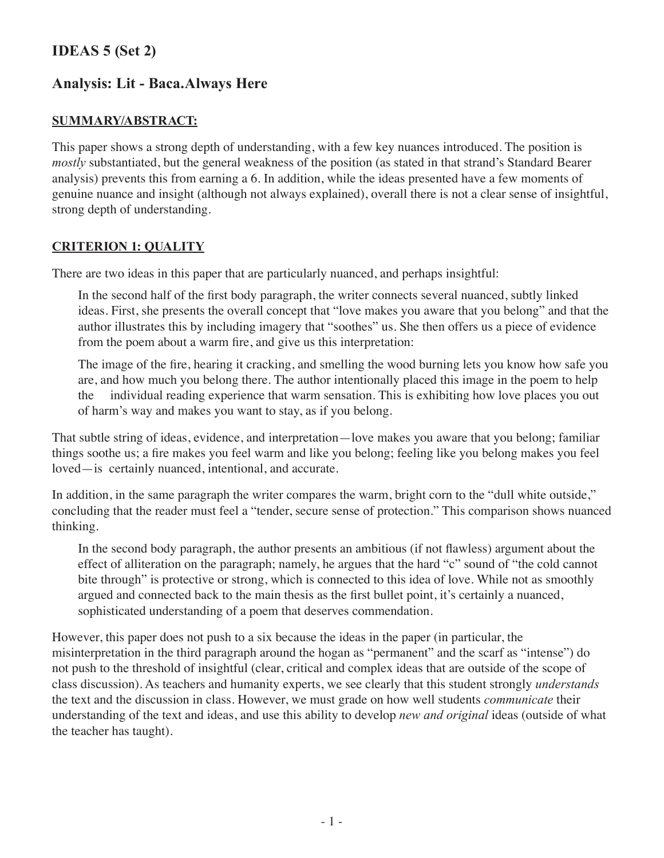## **IDEAS 5 (Set 2)**

# **Analysis: Lit - Baca.Always Here**

### **Summary/Abstract:**

This paper shows a strong depth of understanding, with a few key nuances introduced. The position is *mostly* substantiated, but the general weakness of the position (as stated in that strand's Standard Bearer analysis) prevents this from earning a 6. In addition, while the ideas presented have a few moments of genuine nuance and insight (although not always explained), overall there is not a clear sense of insightful, strong depth of understanding.

### **Criterion 1: Quality**

There are two ideas in this paper that are particularly nuanced, and perhaps insightful:

In the second half of the first body paragraph, the writer connects several nuanced, subtly linked ideas. First, she presents the overall concept that "love makes you aware that you belong" and that the author illustrates this by including imagery that "soothes" us. She then offers us a piece of evidence from the poem about a warm fire, and give us this interpretation:

The image of the fire, hearing it cracking, and smelling the wood burning lets you know how safe you are, and how much you belong there. The author intentionally placed this image in the poem to help the individual reading experience that warm sensation. This is exhibiting how love places you out of harm's way and makes you want to stay, as if you belong.

That subtle string of ideas, evidence, and interpretation—love makes you aware that you belong; familiar things soothe us; a fire makes you feel warm and like you belong; feeling like you belong makes you feel loved—is certainly nuanced, intentional, and accurate.

In addition, in the same paragraph the writer compares the warm, bright corn to the "dull white outside," concluding that the reader must feel a "tender, secure sense of protection." This comparison shows nuanced thinking.

In the second body paragraph, the author presents an ambitious (if not flawless) argument about the effect of alliteration on the paragraph; namely, he argues that the hard "c" sound of "the cold cannot bite through" is protective or strong, which is connected to this idea of love. While not as smoothly argued and connected back to the main thesis as the first bullet point, it's certainly a nuanced, sophisticated understanding of a poem that deserves commendation.

However, this paper does not push to a six because the ideas in the paper (in particular, the misinterpretation in the third paragraph around the hogan as "permanent" and the scarf as "intense") do not push to the threshold of insightful (clear, critical and complex ideas that are outside of the scope of class discussion). As teachers and humanity experts, we see clearly that this student strongly *understands* the text and the discussion in class. However, we must grade on how well students *communicate* their understanding of the text and ideas, and use this ability to develop *new and original* ideas (outside of what the teacher has taught).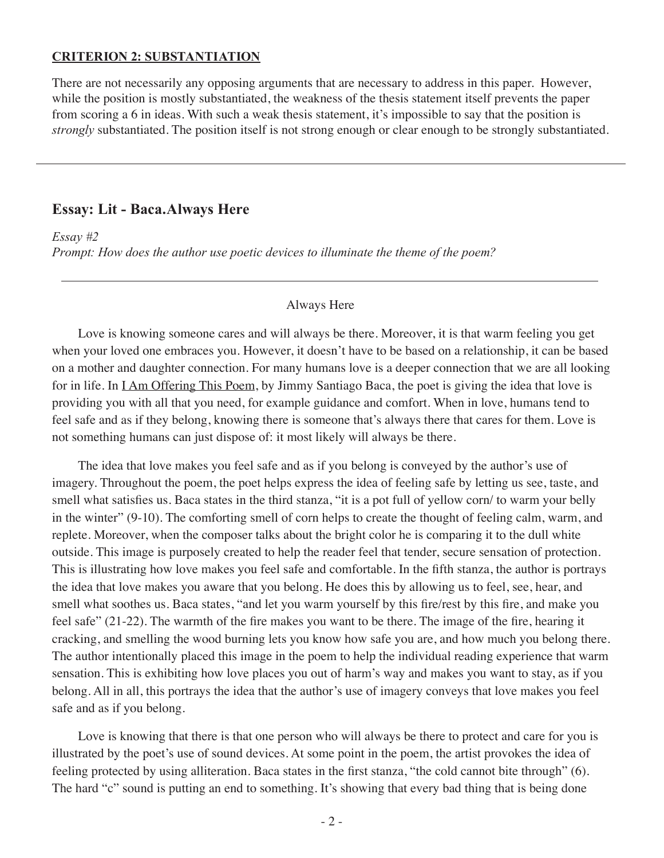#### **Criterion 2: Substantiation**

There are not necessarily any opposing arguments that are necessary to address in this paper. However, while the position is mostly substantiated, the weakness of the thesis statement itself prevents the paper from scoring a 6 in ideas. With such a weak thesis statement, it's impossible to say that the position is *strongly* substantiated. The position itself is not strong enough or clear enough to be strongly substantiated.

## **Essay: Lit - Baca.Always Here**

*Essay #2*

*Prompt: How does the author use poetic devices to illuminate the theme of the poem?*

#### Always Here

Love is knowing someone cares and will always be there. Moreover, it is that warm feeling you get when your loved one embraces you. However, it doesn't have to be based on a relationship, it can be based on a mother and daughter connection. For many humans love is a deeper connection that we are all looking for in life. In <u>I Am Offering This Poem</u>, by Jimmy Santiago Baca, the poet is giving the idea that love is providing you with all that you need, for example guidance and comfort. When in love, humans tend to feel safe and as if they belong, knowing there is someone that's always there that cares for them. Love is not something humans can just dispose of: it most likely will always be there.

The idea that love makes you feel safe and as if you belong is conveyed by the author's use of imagery. Throughout the poem, the poet helps express the idea of feeling safe by letting us see, taste, and smell what satisfies us. Baca states in the third stanza, "it is a pot full of yellow corn/ to warm your belly in the winter" (9-10). The comforting smell of corn helps to create the thought of feeling calm, warm, and replete. Moreover, when the composer talks about the bright color he is comparing it to the dull white outside. This image is purposely created to help the reader feel that tender, secure sensation of protection. This is illustrating how love makes you feel safe and comfortable. In the fifth stanza, the author is portrays the idea that love makes you aware that you belong. He does this by allowing us to feel, see, hear, and smell what soothes us. Baca states, "and let you warm yourself by this fire/rest by this fire, and make you feel safe" (21-22). The warmth of the fire makes you want to be there. The image of the fire, hearing it cracking, and smelling the wood burning lets you know how safe you are, and how much you belong there. The author intentionally placed this image in the poem to help the individual reading experience that warm sensation. This is exhibiting how love places you out of harm's way and makes you want to stay, as if you belong. All in all, this portrays the idea that the author's use of imagery conveys that love makes you feel safe and as if you belong.

Love is knowing that there is that one person who will always be there to protect and care for you is illustrated by the poet's use of sound devices. At some point in the poem, the artist provokes the idea of feeling protected by using alliteration. Baca states in the first stanza, "the cold cannot bite through" (6). The hard "c" sound is putting an end to something. It's showing that every bad thing that is being done